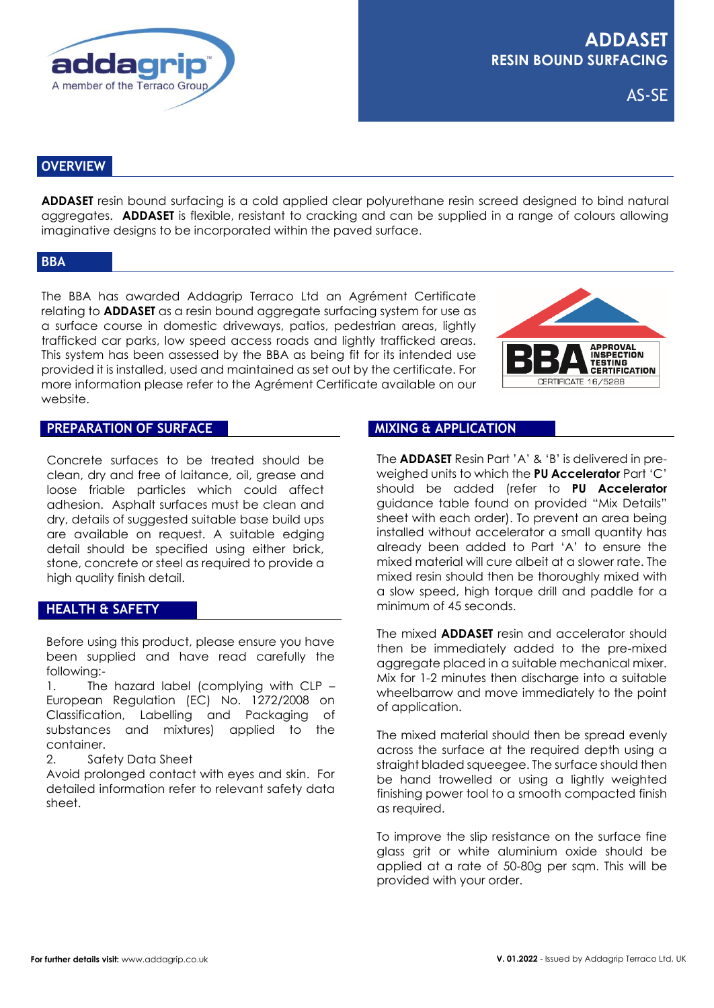

AS-SE

# **OVERVIEW**

**ADDASET** resin bound surfacing is a cold applied clear polyurethane resin screed designed to bind natural aggregates. **ADDASET** is flexible, resistant to cracking and can be supplied in a range of colours allowing imaginative designs to be incorporated within the paved surface.

### **BBA**

The BBA has awarded Addagrip Terraco Ltd an Agrément Certificate relating to **ADDASET** as a resin bound aggregate surfacing system for use as a surface course in domestic driveways, patios, pedestrian areas, lightly trafficked car parks, low speed access roads and lightly trafficked areas. This system has been assessed by the BBA as being fit for its intended use provided it is installed, used and maintained as set out by the certificate. For more information please refer to the Agrément Certificate available on our website.



### **PREPARATION OF SURFACE**

Concrete surfaces to be treated should be clean, dry and free of laitance, oil, grease and loose friable particles which could affect adhesion. Asphalt surfaces must be clean and dry, details of suggested suitable base build ups are available on request. A suitable edging detail should be specified using either brick, stone, concrete or steel as required to provide a high quality finish detail.

## **HEALTH & SAFETY**

Before using this product, please ensure you have been supplied and have read carefully the following:-

1. The hazard label (complying with CLP – European Regulation (EC) No. 1272/2008 on Classification, Labelling and Packaging of substances and mixtures) applied to the container.

2. Safety Data Sheet

Avoid prolonged contact with eyes and skin. For detailed information refer to relevant safety data sheet.

#### **MIXING & APPLICATION**

The **ADDASET** Resin Part 'A' & 'B' is delivered in preweighed units to which the **PU Accelerator** Part 'C' should be added (refer to **PU Accelerator** guidance table found on provided "Mix Details" sheet with each order). To prevent an area being installed without accelerator a small quantity has already been added to Part 'A' to ensure the mixed material will cure albeit at a slower rate. The mixed resin should then be thoroughly mixed with a slow speed, high torque drill and paddle for a minimum of 45 seconds.

The mixed **ADDASET** resin and accelerator should then be immediately added to the pre-mixed aggregate placed in a suitable mechanical mixer. Mix for 1-2 minutes then discharge into a suitable wheelbarrow and move immediately to the point of application.

The mixed material should then be spread evenly across the surface at the required depth using a straight bladed squeegee. The surface should then be hand trowelled or using a lightly weighted finishing power tool to a smooth compacted finish as required.

To improve the slip resistance on the surface fine glass grit or white aluminium oxide should be applied at a rate of 50-80g per sqm. This will be provided with your order.